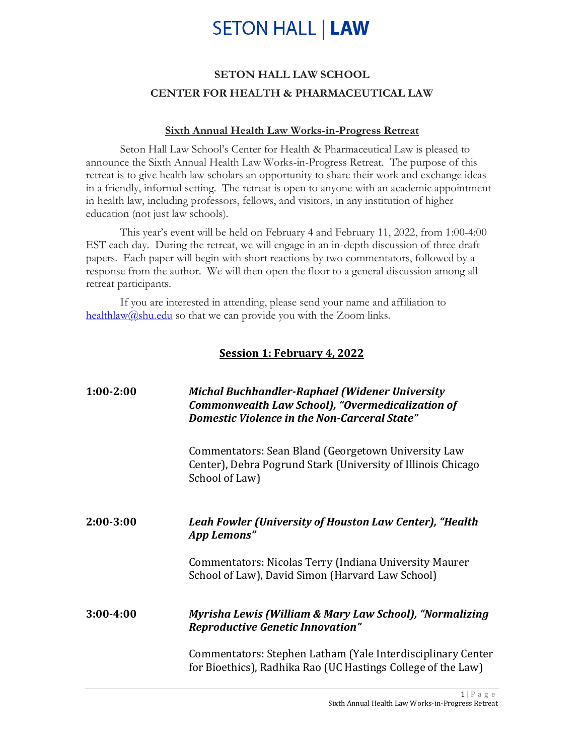## **SETON HALL | LAW**

### **SETON HALL LAW SCHOOL CENTER FOR HEALTH & PHARMACEUTICAL LAW**

#### **Sixth Annual Health Law Works-in-Progress Retreat**

Seton Hall Law School's Center for Health & Pharmaceutical Law is pleased to announce the Sixth Annual Health Law Works-in-Progress Retreat. The purpose of this retreat is to give health law scholars an opportunity to share their work and exchange ideas in a friendly, informal setting. The retreat is open to anyone with an academic appointment in health law, including professors, fellows, and visitors, in any institution of higher education (not just law schools).

This year's event will be held on February 4 and February 11, 2022, from 1:00-4:00 EST each day. During the retreat, we will engage in an in-depth discussion of three draft papers. Each paper will begin with short reactions by two commentators, followed by a response from the author. We will then open the floor to a general discussion among all retreat participants.

If you are interested in attending, please send your name and affiliation to [healthlaw@shu.edu](mailto:healthlaw@shu.edu) so that we can provide you with the Zoom links.

#### **Session 1: February 4, 2022**

| $1:00-2:00$ | <b>Michal Buchhandler-Raphael (Widener University</b><br><b>Commonwealth Law School), "Overmedicalization of</b><br><b>Domestic Violence in the Non-Carceral State"</b> |
|-------------|-------------------------------------------------------------------------------------------------------------------------------------------------------------------------|
|             | Commentators: Sean Bland (Georgetown University Law<br>Center), Debra Pogrund Stark (University of Illinois Chicago<br>School of Law)                                   |
| $2:00-3:00$ | Leah Fowler (University of Houston Law Center), "Health<br>App Lemons"                                                                                                  |
|             | <b>Commentators: Nicolas Terry (Indiana University Maurer</b><br>School of Law), David Simon (Harvard Law School)                                                       |
| $3:00-4:00$ | Myrisha Lewis (William & Mary Law School), "Normalizing<br><b>Reproductive Genetic Innovation"</b>                                                                      |
|             | Commentators: Stephen Latham (Yale Interdisciplinary Center<br>for Bioethics), Radhika Rao (UC Hastings College of the Law)                                             |